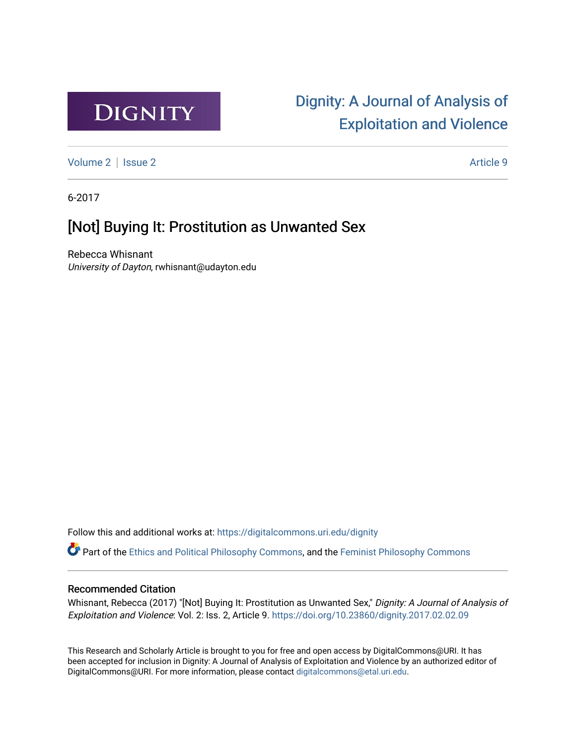

# [Dignity: A Journal of Analysis of](https://digitalcommons.uri.edu/dignity)  [Exploitation and Violence](https://digitalcommons.uri.edu/dignity)

[Volume 2](https://digitalcommons.uri.edu/dignity/vol2) | [Issue 2](https://digitalcommons.uri.edu/dignity/vol2/iss2) Article 9

6-2017

## [Not] Buying It: Prostitution as Unwanted Sex

Rebecca Whisnant University of Dayton, rwhisnant@udayton.edu

Follow this and additional works at: [https://digitalcommons.uri.edu/dignity](https://digitalcommons.uri.edu/dignity?utm_source=digitalcommons.uri.edu%2Fdignity%2Fvol2%2Fiss2%2F9&utm_medium=PDF&utm_campaign=PDFCoverPages) 

Part of the [Ethics and Political Philosophy Commons,](http://network.bepress.com/hgg/discipline/529?utm_source=digitalcommons.uri.edu%2Fdignity%2Fvol2%2Fiss2%2F9&utm_medium=PDF&utm_campaign=PDFCoverPages) and the [Feminist Philosophy Commons](http://network.bepress.com/hgg/discipline/530?utm_source=digitalcommons.uri.edu%2Fdignity%2Fvol2%2Fiss2%2F9&utm_medium=PDF&utm_campaign=PDFCoverPages)

## Recommended Citation

Whisnant, Rebecca (2017) "[Not] Buying It: Prostitution as Unwanted Sex," Dignity: A Journal of Analysis of Exploitation and Violence: Vol. 2: Iss. 2, Article 9.<https://doi.org/10.23860/dignity.2017.02.02.09>

This Research and Scholarly Article is brought to you for free and open access by DigitalCommons@URI. It has been accepted for inclusion in Dignity: A Journal of Analysis of Exploitation and Violence by an authorized editor of DigitalCommons@URI. For more information, please contact [digitalcommons@etal.uri.edu.](mailto:digitalcommons@etal.uri.edu)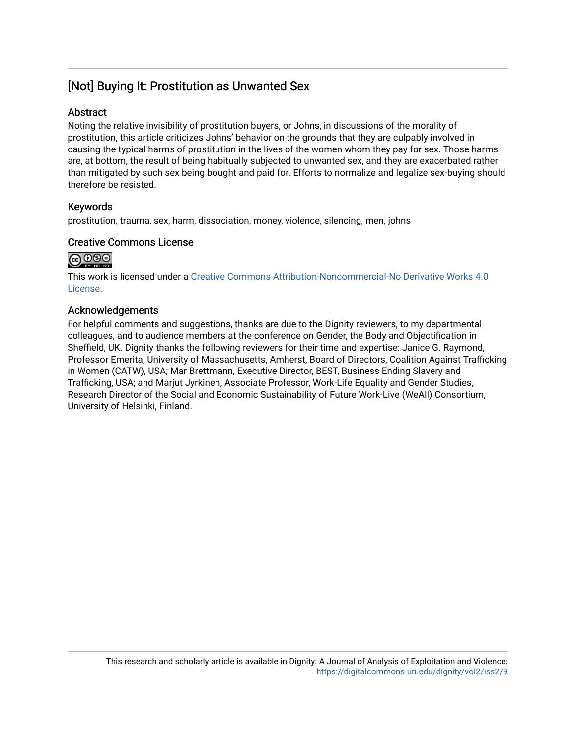## [Not] Buying It: Prostitution as Unwanted Sex

## Abstract

Noting the relative invisibility of prostitution buyers, or Johns, in discussions of the morality of prostitution, this article criticizes Johns' behavior on the grounds that they are culpably involved in causing the typical harms of prostitution in the lives of the women whom they pay for sex. Those harms are, at bottom, the result of being habitually subjected to unwanted sex, and they are exacerbated rather than mitigated by such sex being bought and paid for. Efforts to normalize and legalize sex-buying should therefore be resisted.

## Keywords

prostitution, trauma, sex, harm, dissociation, money, violence, silencing, men, johns

## Creative Commons License



This work is licensed under a [Creative Commons Attribution-Noncommercial-No Derivative Works 4.0](https://creativecommons.org/licenses/by-nc-nd/4.0/) [License](https://creativecommons.org/licenses/by-nc-nd/4.0/).

## Acknowledgements

For helpful comments and suggestions, thanks are due to the Dignity reviewers, to my departmental colleagues, and to audience members at the conference on Gender, the Body and Objectification in Sheffield, UK. Dignity thanks the following reviewers for their time and expertise: Janice G. Raymond, Professor Emerita, University of Massachusetts, Amherst, Board of Directors, Coalition Against Trafficking in Women (CATW), USA; Mar Brettmann, Executive Director, BEST, Business Ending Slavery and Trafficking, USA; and Marjut Jyrkinen, Associate Professor, Work-Life Equality and Gender Studies, Research Director of the Social and Economic Sustainability of Future Work-Live (WeAll) Consortium, University of Helsinki, Finland.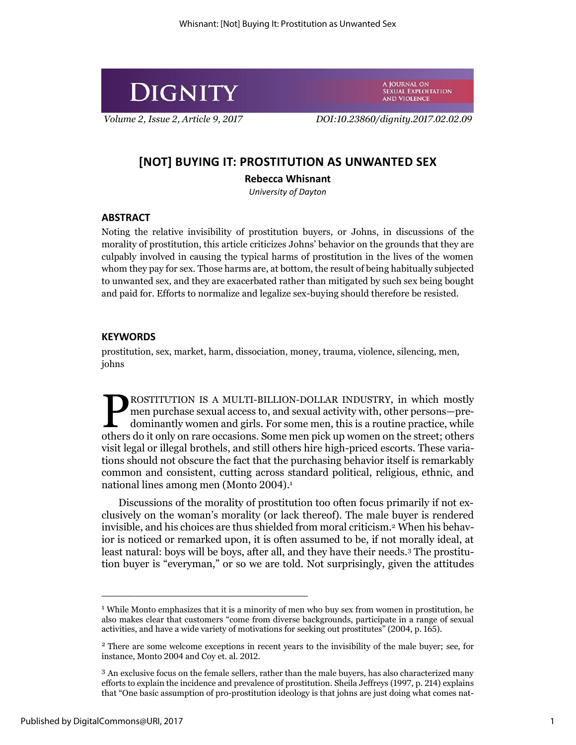

A JOURNAL ON SEXUAL EXPLOITATION **AND VIOLENCE** 

*Volume 2, Issue 2, Article 9, 2017 DOI:10.23860/dignity.2017.02.02.09*

## **[NOT] BUYING IT: PROSTITUTION AS UNWANTED SEX**

## **Rebecca Whisnant**

*University of Dayton*

### **ABSTRACT**

Noting the relative invisibility of prostitution buyers, or Johns, in discussions of the morality of prostitution, this article criticizes Johns' behavior on the grounds that they are culpably involved in causing the typical harms of prostitution in the lives of the women whom they pay for sex. Those harms are, at bottom, the result of being habitually subjected to unwanted sex, and they are exacerbated rather than mitigated by such sex being bought and paid for. Efforts to normalize and legalize sex-buying should therefore be resisted.

#### **KEYWORDS**

prostitution, sex, market, harm, dissociation, money, trauma, violence, silencing, men, johns

ROSTITUTION IS A MULTI-BILLION-DOLLAR INDUSTRY, in which mostly men purchase sexual access to, and sexual activity with, other persons—predominantly women and girls. For some men, this is a routine practice, while **EXECUTE ON SOLUTE AN INDUSTRY, IN WHICH MOST PROSTITUTION** IS A MULTI-BILLION-DOLLAR INDUSTRY, in which mostly men purchase sexual access to, and sexual activity with, other persons—predominantly women and girls. For some visit legal or illegal brothels, and still others hire high-priced escorts. These variations should not obscure the fact that the purchasing behavior itself is remarkably common and consistent, cutting across standard political, religious, ethnic, and national lines among men (Monto 2004). 1

Discussions of the morality of prostitution too often focus primarily if not exclusively on the woman's morality (or lack thereof). The male buyer is rendered invisible, and his choices are thus shielded from moral criticism.<sup>2</sup> When his behavior is noticed or remarked upon, it is often assumed to be, if not morally ideal, at least natural: boys will be boys, after all, and they have their needs.<sup>3</sup> The prostitution buyer is "everyman," or so we are told. Not surprisingly, given the attitudes

<sup>&</sup>lt;sup>1</sup> While Monto emphasizes that it is a minority of men who buy sex from women in prostitution, he also makes clear that customers "come from diverse backgrounds, participate in a range of sexual activities, and have a wide variety of motivations for seeking out prostitutes" (2004, p. 165).

<sup>2</sup> There are some welcome exceptions in recent years to the invisibility of the male buyer; see, for instance, Monto 2004 and Coy et. al. 2012.

<sup>3</sup> An exclusive focus on the female sellers, rather than the male buyers, has also characterized many efforts to explain the incidence and prevalence of prostitution. Sheila Jeffreys (1997, p. 214) explains that "One basic assumption of pro-prostitution ideology is that johns are just doing what comes nat-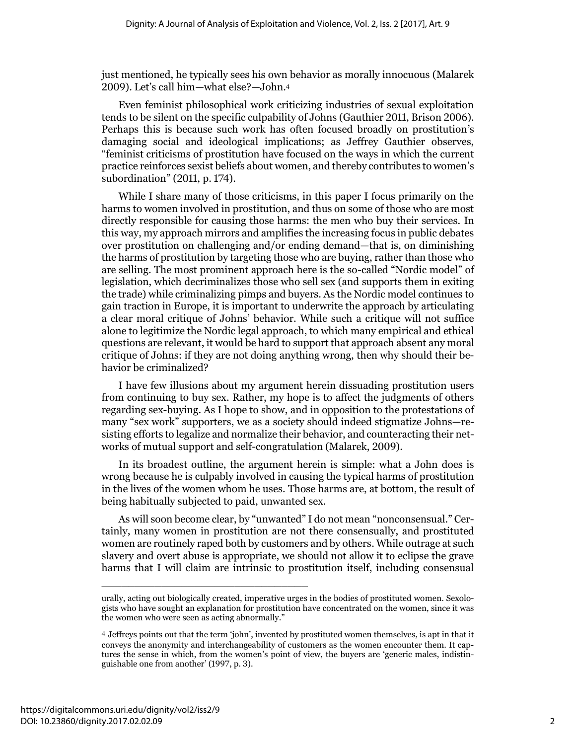just mentioned, he typically sees his own behavior as morally innocuous (Malarek 2009). Let's call him—what else?—John.<sup>4</sup>

Even feminist philosophical work criticizing industries of sexual exploitation tends to be silent on the specific culpability of Johns (Gauthier 2011, Brison 2006). Perhaps this is because such work has often focused broadly on prostitution's damaging social and ideological implications; as Jeffrey Gauthier observes, "feminist criticisms of prostitution have focused on the ways in which the current practice reinforces sexist beliefs about women, and thereby contributes to women's subordination" (2011, p. 174).

While I share many of those criticisms, in this paper I focus primarily on the harms to women involved in prostitution, and thus on some of those who are most directly responsible for causing those harms: the men who buy their services. In this way, my approach mirrors and amplifies the increasing focus in public debates over prostitution on challenging and/or ending demand—that is, on diminishing the harms of prostitution by targeting those who are buying, rather than those who are selling. The most prominent approach here is the so-called "Nordic model" of legislation, which decriminalizes those who sell sex (and supports them in exiting the trade) while criminalizing pimps and buyers. As the Nordic model continues to gain traction in Europe, it is important to underwrite the approach by articulating a clear moral critique of Johns' behavior. While such a critique will not suffice alone to legitimize the Nordic legal approach, to which many empirical and ethical questions are relevant, it would be hard to support that approach absent any moral critique of Johns: if they are not doing anything wrong, then why should their behavior be criminalized?

I have few illusions about my argument herein dissuading prostitution users from continuing to buy sex. Rather, my hope is to affect the judgments of others regarding sex-buying. As I hope to show, and in opposition to the protestations of many "sex work" supporters, we as a society should indeed stigmatize Johns—resisting efforts to legalize and normalize their behavior, and counteracting their networks of mutual support and self-congratulation (Malarek, 2009).

In its broadest outline, the argument herein is simple: what a John does is wrong because he is culpably involved in causing the typical harms of prostitution in the lives of the women whom he uses. Those harms are, at bottom, the result of being habitually subjected to paid, unwanted sex.

As will soon become clear, by "unwanted" I do not mean "nonconsensual." Certainly, many women in prostitution are not there consensually, and prostituted women are routinely raped both by customers and by others. While outrage at such slavery and overt abuse is appropriate, we should not allow it to eclipse the grave harms that I will claim are intrinsic to prostitution itself, including consensual

urally, acting out biologically created, imperative urges in the bodies of prostituted women. Sexologists who have sought an explanation for prostitution have concentrated on the women, since it was the women who were seen as acting abnormally."

<sup>4</sup> Jeffreys points out that the term 'john', invented by prostituted women themselves, is apt in that it conveys the anonymity and interchangeability of customers as the women encounter them. It captures the sense in which, from the women's point of view, the buyers are 'generic males, indistinguishable one from another' (1997, p. 3).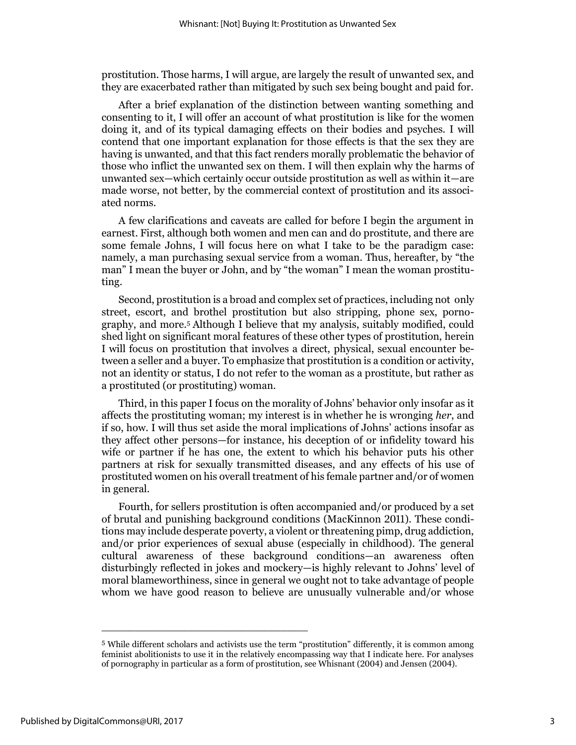prostitution. Those harms, I will argue, are largely the result of unwanted sex, and they are exacerbated rather than mitigated by such sex being bought and paid for.

After a brief explanation of the distinction between wanting something and consenting to it, I will offer an account of what prostitution is like for the women doing it, and of its typical damaging effects on their bodies and psyches. I will contend that one important explanation for those effects is that the sex they are having is unwanted, and that this fact renders morally problematic the behavior of those who inflict the unwanted sex on them. I will then explain why the harms of unwanted sex—which certainly occur outside prostitution as well as within it—are made worse, not better, by the commercial context of prostitution and its associated norms.

A few clarifications and caveats are called for before I begin the argument in earnest. First, although both women and men can and do prostitute, and there are some female Johns, I will focus here on what I take to be the paradigm case: namely, a man purchasing sexual service from a woman. Thus, hereafter, by "the man" I mean the buyer or John, and by "the woman" I mean the woman prostituting.

Second, prostitution is a broad and complex set of practices, including not only street, escort, and brothel prostitution but also stripping, phone sex, pornography, and more.<sup>5</sup> Although I believe that my analysis, suitably modified, could shed light on significant moral features of these other types of prostitution, herein I will focus on prostitution that involves a direct, physical, sexual encounter between a seller and a buyer. To emphasize that prostitution is a condition or activity, not an identity or status, I do not refer to the woman as a prostitute, but rather as a prostituted (or prostituting) woman.

Third, in this paper I focus on the morality of Johns' behavior only insofar as it affects the prostituting woman; my interest is in whether he is wronging *her*, and if so, how. I will thus set aside the moral implications of Johns' actions insofar as they affect other persons—for instance, his deception of or infidelity toward his wife or partner if he has one, the extent to which his behavior puts his other partners at risk for sexually transmitted diseases, and any effects of his use of prostituted women on his overall treatment of his female partner and/or of women in general.

Fourth, for sellers prostitution is often accompanied and/or produced by a set of brutal and punishing background conditions (MacKinnon 2011). These conditions may include desperate poverty, a violent or threatening pimp, drug addiction, and/or prior experiences of sexual abuse (especially in childhood). The general cultural awareness of these background conditions—an awareness often disturbingly reflected in jokes and mockery—is highly relevant to Johns' level of moral blameworthiness, since in general we ought not to take advantage of people whom we have good reason to believe are unusually vulnerable and/or whose

<sup>5</sup> While different scholars and activists use the term "prostitution" differently, it is common among feminist abolitionists to use it in the relatively encompassing way that I indicate here. For analyses of pornography in particular as a form of prostitution, see Whisnant (2004) and Jensen (2004).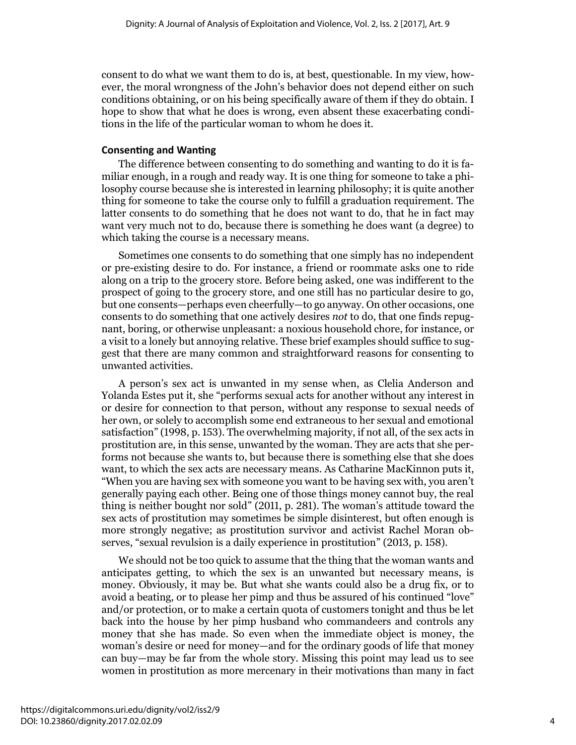consent to do what we want them to do is, at best, questionable. In my view, however, the moral wrongness of the John's behavior does not depend either on such conditions obtaining, or on his being specifically aware of them if they do obtain. I hope to show that what he does is wrong, even absent these exacerbating conditions in the life of the particular woman to whom he does it.

## **Consenting and Wanting**

The difference between consenting to do something and wanting to do it is familiar enough, in a rough and ready way. It is one thing for someone to take a philosophy course because she is interested in learning philosophy; it is quite another thing for someone to take the course only to fulfill a graduation requirement. The latter consents to do something that he does not want to do, that he in fact may want very much not to do, because there is something he does want (a degree) to which taking the course is a necessary means.

Sometimes one consents to do something that one simply has no independent or pre-existing desire to do. For instance, a friend or roommate asks one to ride along on a trip to the grocery store. Before being asked, one was indifferent to the prospect of going to the grocery store, and one still has no particular desire to go, but one consents—perhaps even cheerfully—to go anyway. On other occasions, one consents to do something that one actively desires *not* to do, that one finds repugnant, boring, or otherwise unpleasant: a noxious household chore, for instance, or a visit to a lonely but annoying relative. These brief examples should suffice to suggest that there are many common and straightforward reasons for consenting to unwanted activities.

A person's sex act is unwanted in my sense when, as Clelia Anderson and Yolanda Estes put it, she "performs sexual acts for another without any interest in or desire for connection to that person, without any response to sexual needs of her own, or solely to accomplish some end extraneous to her sexual and emotional satisfaction" (1998, p. 153). The overwhelming majority, if not all, of the sex acts in prostitution are, in this sense, unwanted by the woman. They are acts that she performs not because she wants to, but because there is something else that she does want, to which the sex acts are necessary means. As Catharine MacKinnon puts it, "When you are having sex with someone you want to be having sex with, you aren't generally paying each other. Being one of those things money cannot buy, the real thing is neither bought nor sold" (2011, p. 281). The woman's attitude toward the sex acts of prostitution may sometimes be simple disinterest, but often enough is more strongly negative; as prostitution survivor and activist Rachel Moran observes, "sexual revulsion is a daily experience in prostitution" (2013, p. 158).

We should not be too quick to assume that the thing that the woman wants and anticipates getting, to which the sex is an unwanted but necessary means, is money. Obviously, it may be. But what she wants could also be a drug fix, or to avoid a beating, or to please her pimp and thus be assured of his continued "love" and/or protection, or to make a certain quota of customers tonight and thus be let back into the house by her pimp husband who commandeers and controls any money that she has made. So even when the immediate object is money, the woman's desire or need for money—and for the ordinary goods of life that money can buy—may be far from the whole story. Missing this point may lead us to see women in prostitution as more mercenary in their motivations than many in fact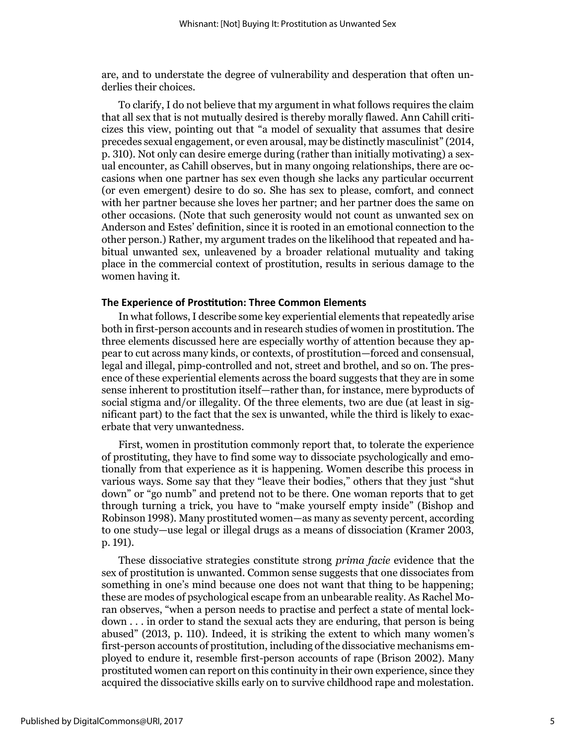are, and to understate the degree of vulnerability and desperation that often underlies their choices.

To clarify, I do not believe that my argument in what follows requires the claim that all sex that is not mutually desired is thereby morally flawed. Ann Cahill criticizes this view, pointing out that "a model of sexuality that assumes that desire precedes sexual engagement, or even arousal, may be distinctly masculinist" (2014, p. 310). Not only can desire emerge during (rather than initially motivating) a sexual encounter, as Cahill observes, but in many ongoing relationships, there are occasions when one partner has sex even though she lacks any particular occurrent (or even emergent) desire to do so. She has sex to please, comfort, and connect with her partner because she loves her partner; and her partner does the same on other occasions. (Note that such generosity would not count as unwanted sex on Anderson and Estes' definition, since it is rooted in an emotional connection to the other person.) Rather, my argument trades on the likelihood that repeated and habitual unwanted sex, unleavened by a broader relational mutuality and taking place in the commercial context of prostitution, results in serious damage to the women having it.

#### **The Experience of Prostitution: Three Common Elements**

In what follows, I describe some key experiential elements that repeatedly arise both in first-person accounts and in research studies of women in prostitution. The three elements discussed here are especially worthy of attention because they appear to cut across many kinds, or contexts, of prostitution—forced and consensual, legal and illegal, pimp-controlled and not, street and brothel, and so on. The presence of these experiential elements across the board suggests that they are in some sense inherent to prostitution itself—rather than, for instance, mere byproducts of social stigma and/or illegality. Of the three elements, two are due (at least in significant part) to the fact that the sex is unwanted, while the third is likely to exacerbate that very unwantedness.

First, women in prostitution commonly report that, to tolerate the experience of prostituting, they have to find some way to dissociate psychologically and emotionally from that experience as it is happening. Women describe this process in various ways. Some say that they "leave their bodies," others that they just "shut down" or "go numb" and pretend not to be there. One woman reports that to get through turning a trick, you have to "make yourself empty inside" (Bishop and Robinson 1998). Many prostituted women—as many as seventy percent, according to one study—use legal or illegal drugs as a means of dissociation (Kramer 2003, p. 191).

These dissociative strategies constitute strong *prima facie* evidence that the sex of prostitution is unwanted. Common sense suggests that one dissociates from something in one's mind because one does not want that thing to be happening; these are modes of psychological escape from an unbearable reality. As Rachel Moran observes, "when a person needs to practise and perfect a state of mental lockdown . . . in order to stand the sexual acts they are enduring, that person is being abused" (2013, p. 110). Indeed, it is striking the extent to which many women's first-person accounts of prostitution, including of the dissociative mechanisms employed to endure it, resemble first-person accounts of rape (Brison 2002). Many prostituted women can report on this continuity in their own experience, since they acquired the dissociative skills early on to survive childhood rape and molestation.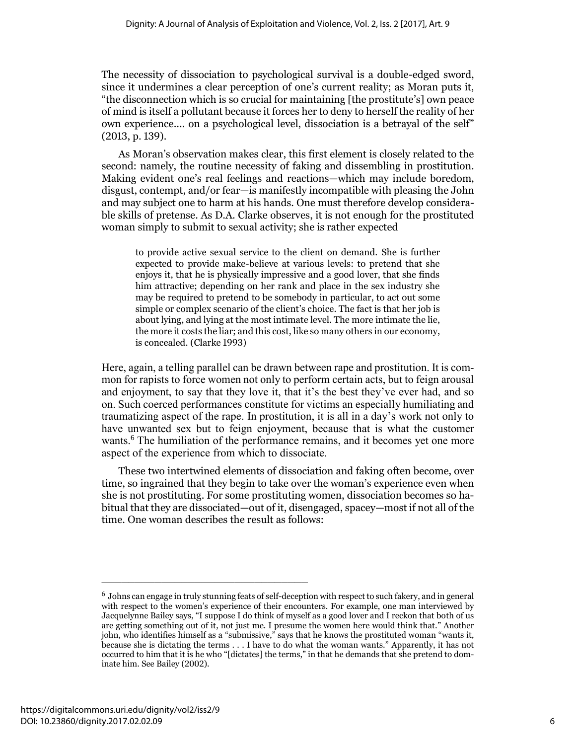The necessity of dissociation to psychological survival is a double-edged sword, since it undermines a clear perception of one's current reality; as Moran puts it, "the disconnection which is so crucial for maintaining [the prostitute's] own peace of mind is itself a pollutant because it forces her to deny to herself the reality of her own experience.... on a psychological level, dissociation is a betrayal of the self" (2013, p. 139).

As Moran's observation makes clear, this first element is closely related to the second: namely, the routine necessity of faking and dissembling in prostitution. Making evident one's real feelings and reactions—which may include boredom, disgust, contempt, and/or fear—is manifestly incompatible with pleasing the John and may subject one to harm at his hands. One must therefore develop considerable skills of pretense. As D.A. Clarke observes, it is not enough for the prostituted woman simply to submit to sexual activity; she is rather expected

to provide active sexual service to the client on demand. She is further expected to provide make-believe at various levels: to pretend that she enjoys it, that he is physically impressive and a good lover, that she finds him attractive; depending on her rank and place in the sex industry she may be required to pretend to be somebody in particular, to act out some simple or complex scenario of the client's choice. The fact is that her job is about lying, and lying at the most intimate level. The more intimate the lie, the more it costs the liar; and this cost, like so many others in our economy, is concealed. (Clarke 1993)

Here, again, a telling parallel can be drawn between rape and prostitution. It is common for rapists to force women not only to perform certain acts, but to feign arousal and enjoyment, to say that they love it, that it's the best they've ever had, and so on. Such coerced performances constitute for victims an especially humiliating and traumatizing aspect of the rape. In prostitution, it is all in a day's work not only to have unwanted sex but to feign enjoyment, because that is what the customer wants.<sup>6</sup> The humiliation of the performance remains, and it becomes yet one more aspect of the experience from which to dissociate.

These two intertwined elements of dissociation and faking often become, over time, so ingrained that they begin to take over the woman's experience even when she is not prostituting. For some prostituting women, dissociation becomes so habitual that they are dissociated—out of it, disengaged, spacey—most if not all of the time. One woman describes the result as follows:

 $^6$  Johns can engage in truly stunning feats of self-deception with respect to such fakery, and in general with respect to the women's experience of their encounters. For example, one man interviewed by Jacquelynne Bailey says, "I suppose I do think of myself as a good lover and I reckon that both of us are getting something out of it, not just me. I presume the women here would think that." Another john, who identifies himself as a "submissive," says that he knows the prostituted woman "wants it, because she is dictating the terms . . . I have to do what the woman wants." Apparently, it has not occurred to him that it is he who "[dictates] the terms," in that he demands that she pretend to dominate him. See Bailey (2002).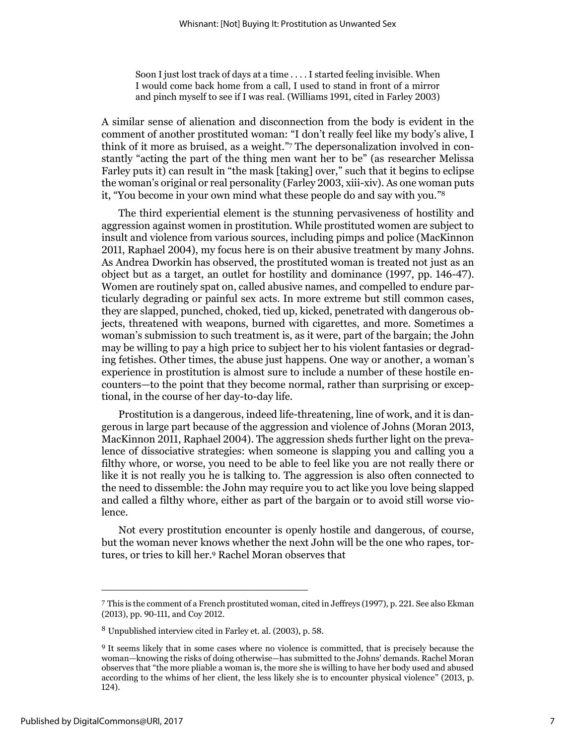Soon I just lost track of days at a time . . . . I started feeling invisible. When I would come back home from a call, I used to stand in front of a mirror and pinch myself to see if I was real. (Williams 1991, cited in Farley 2003)

A similar sense of alienation and disconnection from the body is evident in the comment of another prostituted woman: "I don't really feel like my body's alive, I think of it more as bruised, as a weight." <sup>7</sup> The depersonalization involved in constantly "acting the part of the thing men want her to be" (as researcher Melissa Farley puts it) can result in "the mask [taking] over," such that it begins to eclipse the woman's original or real personality (Farley 2003, xiii-xiv). As one woman puts it, "You become in your own mind what these people do and say with you." 8

The third experiential element is the stunning pervasiveness of hostility and aggression against women in prostitution. While prostituted women are subject to insult and violence from various sources, including pimps and police (MacKinnon 2011, Raphael 2004), my focus here is on their abusive treatment by many Johns. As Andrea Dworkin has observed, the prostituted woman is treated not just as an object but as a target, an outlet for hostility and dominance (1997, pp. 146-47). Women are routinely spat on, called abusive names, and compelled to endure particularly degrading or painful sex acts. In more extreme but still common cases, they are slapped, punched, choked, tied up, kicked, penetrated with dangerous objects, threatened with weapons, burned with cigarettes, and more. Sometimes a woman's submission to such treatment is, as it were, part of the bargain; the John may be willing to pay a high price to subject her to his violent fantasies or degrading fetishes. Other times, the abuse just happens. One way or another, a woman's experience in prostitution is almost sure to include a number of these hostile encounters—to the point that they become normal, rather than surprising or exceptional, in the course of her day-to-day life.

Prostitution is a dangerous, indeed life-threatening, line of work, and it is dangerous in large part because of the aggression and violence of Johns (Moran 2013, MacKinnon 2011, Raphael 2004). The aggression sheds further light on the prevalence of dissociative strategies: when someone is slapping you and calling you a filthy whore, or worse, you need to be able to feel like you are not really there or like it is not really you he is talking to. The aggression is also often connected to the need to dissemble: the John may require you to act like you love being slapped and called a filthy whore, either as part of the bargain or to avoid still worse violence.

Not every prostitution encounter is openly hostile and dangerous, of course, but the woman never knows whether the next John will be the one who rapes, tortures, or tries to kill her. <sup>9</sup> Rachel Moran observes that

<sup>7</sup> This is the comment of a French prostituted woman, cited in Jeffreys (1997), p. 221. See also Ekman (2013), pp. 90-111, and Coy 2012.

<sup>8</sup> Unpublished interview cited in Farley et. al. (2003), p. 58.

<sup>9</sup> It seems likely that in some cases where no violence is committed, that is precisely because the woman—knowing the risks of doing otherwise—has submitted to the Johns' demands. Rachel Moran observes that "the more pliable a woman is, the more she is willing to have her body used and abused according to the whims of her client, the less likely she is to encounter physical violence" (2013, p. 124).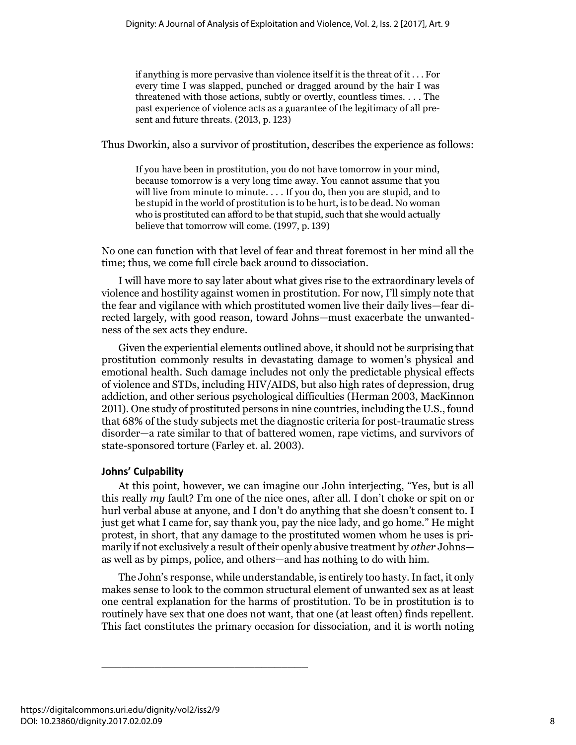if anything is more pervasive than violence itself it is the threat of it . . . For every time I was slapped, punched or dragged around by the hair I was threatened with those actions, subtly or overtly, countless times. . . . The past experience of violence acts as a guarantee of the legitimacy of all present and future threats. (2013, p. 123)

Thus Dworkin, also a survivor of prostitution, describes the experience as follows:

If you have been in prostitution, you do not have tomorrow in your mind, because tomorrow is a very long time away. You cannot assume that you will live from minute to minute.... If you do, then you are stupid, and to be stupid in the world of prostitution is to be hurt, is to be dead. No woman who is prostituted can afford to be that stupid, such that she would actually believe that tomorrow will come. (1997, p. 139)

No one can function with that level of fear and threat foremost in her mind all the time; thus, we come full circle back around to dissociation.

I will have more to say later about what gives rise to the extraordinary levels of violence and hostility against women in prostitution. For now, I'll simply note that the fear and vigilance with which prostituted women live their daily lives—fear directed largely, with good reason, toward Johns—must exacerbate the unwantedness of the sex acts they endure.

Given the experiential elements outlined above, it should not be surprising that prostitution commonly results in devastating damage to women's physical and emotional health. Such damage includes not only the predictable physical effects of violence and STDs, including HIV/AIDS, but also high rates of depression, drug addiction, and other serious psychological difficulties (Herman 2003, MacKinnon 2011). One study of prostituted persons in nine countries, including the U.S., found that 68% of the study subjects met the diagnostic criteria for post-traumatic stress disorder—a rate similar to that of battered women, rape victims, and survivors of state-sponsored torture (Farley et. al. 2003).

## **Johns' Culpability**

At this point, however, we can imagine our John interjecting, "Yes, but is all this really *my* fault? I'm one of the nice ones, after all. I don't choke or spit on or hurl verbal abuse at anyone, and I don't do anything that she doesn't consent to. I just get what I came for, say thank you, pay the nice lady, and go home." He might protest, in short, that any damage to the prostituted women whom he uses is primarily if not exclusively a result of their openly abusive treatment by *other* Johns as well as by pimps, police, and others—and has nothing to do with him.

The John's response, while understandable, is entirely too hasty. In fact, it only makes sense to look to the common structural element of unwanted sex as at least one central explanation for the harms of prostitution. To be in prostitution is to routinely have sex that one does not want, that one (at least often) finds repellent. This fact constitutes the primary occasion for dissociation, and it is worth noting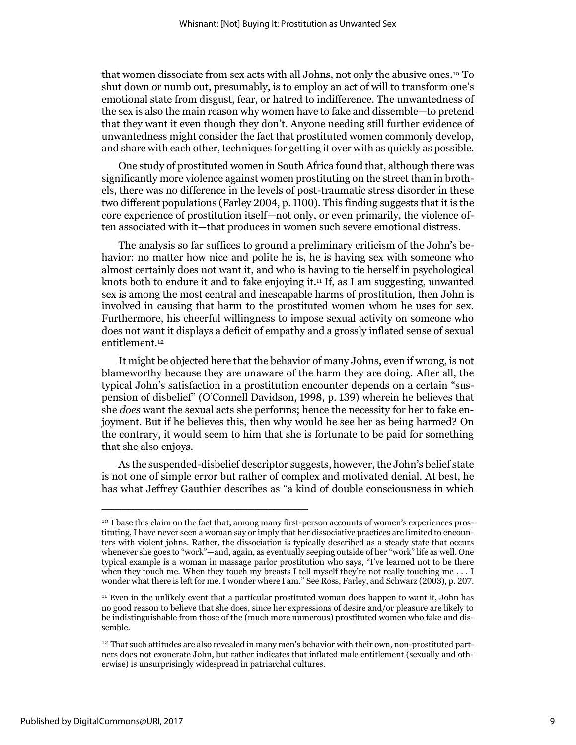that women dissociate from sex acts with all Johns, not only the abusive ones.<sup>10</sup> To shut down or numb out, presumably, is to employ an act of will to transform one's emotional state from disgust, fear, or hatred to indifference. The unwantedness of the sex is also the main reason why women have to fake and dissemble—to pretend that they want it even though they don't. Anyone needing still further evidence of unwantedness might consider the fact that prostituted women commonly develop, and share with each other, techniques for getting it over with as quickly as possible.

One study of prostituted women in South Africa found that, although there was significantly more violence against women prostituting on the street than in brothels, there was no difference in the levels of post-traumatic stress disorder in these two different populations (Farley 2004, p. 1100). This finding suggests that it is the core experience of prostitution itself—not only, or even primarily, the violence often associated with it—that produces in women such severe emotional distress.

The analysis so far suffices to ground a preliminary criticism of the John's behavior: no matter how nice and polite he is, he is having sex with someone who almost certainly does not want it, and who is having to tie herself in psychological knots both to endure it and to fake enjoying it.<sup>11</sup> If, as I am suggesting, unwanted sex is among the most central and inescapable harms of prostitution, then John is involved in causing that harm to the prostituted women whom he uses for sex. Furthermore, his cheerful willingness to impose sexual activity on someone who does not want it displays a deficit of empathy and a grossly inflated sense of sexual entitlement.<sup>12</sup>

It might be objected here that the behavior of many Johns, even if wrong, is not blameworthy because they are unaware of the harm they are doing. After all, the typical John's satisfaction in a prostitution encounter depends on a certain "suspension of disbelief" (O'Connell Davidson, 1998, p. 139) wherein he believes that she *does* want the sexual acts she performs; hence the necessity for her to fake enjoyment. But if he believes this, then why would he see her as being harmed? On the contrary, it would seem to him that she is fortunate to be paid for something that she also enjoys.

As the suspended-disbelief descriptor suggests, however, the John's belief state is not one of simple error but rather of complex and motivated denial. At best, he has what Jeffrey Gauthier describes as "a kind of double consciousness in which

<sup>&</sup>lt;sup>10</sup> I base this claim on the fact that, among many first-person accounts of women's experiences prostituting, I have never seen a woman say or imply that her dissociative practices are limited to encounters with violent johns. Rather, the dissociation is typically described as a steady state that occurs whenever she goes to "work"—and, again, as eventually seeping outside of her "work" life as well. One typical example is a woman in massage parlor prostitution who says, "I've learned not to be there when they touch me. When they touch my breasts I tell myself they're not really touching me . . . I wonder what there is left for me. I wonder where I am." See Ross, Farley, and Schwarz (2003), p. 207.

<sup>11</sup> Even in the unlikely event that a particular prostituted woman does happen to want it, John has no good reason to believe that she does, since her expressions of desire and/or pleasure are likely to be indistinguishable from those of the (much more numerous) prostituted women who fake and dissemble.

 $12$  That such attitudes are also revealed in many men's behavior with their own, non-prostituted partners does not exonerate John, but rather indicates that inflated male entitlement (sexually and otherwise) is unsurprisingly widespread in patriarchal cultures.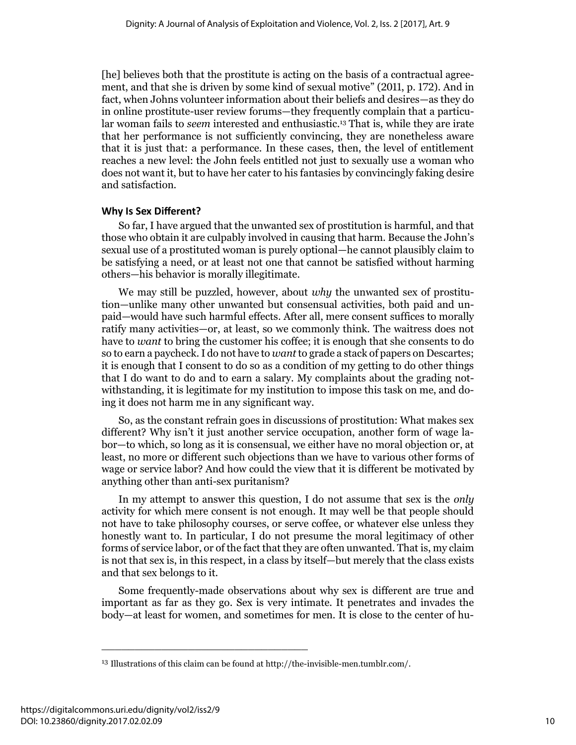[he] believes both that the prostitute is acting on the basis of a contractual agreement, and that she is driven by some kind of sexual motive" (2011, p. 172). And in fact, when Johns volunteer information about their beliefs and desires—as they do in online prostitute-user review forums—they frequently complain that a particular woman fails to *seem* interested and enthusiastic.<sup>13</sup> That is, while they are irate that her performance is not sufficiently convincing, they are nonetheless aware that it is just that: a performance. In these cases, then, the level of entitlement reaches a new level: the John feels entitled not just to sexually use a woman who does not want it, but to have her cater to his fantasies by convincingly faking desire and satisfaction.

#### **Why Is Sex Different?**

So far, I have argued that the unwanted sex of prostitution is harmful, and that those who obtain it are culpably involved in causing that harm. Because the John's sexual use of a prostituted woman is purely optional—he cannot plausibly claim to be satisfying a need, or at least not one that cannot be satisfied without harming others—his behavior is morally illegitimate.

We may still be puzzled, however, about *why* the unwanted sex of prostitution—unlike many other unwanted but consensual activities, both paid and unpaid—would have such harmful effects. After all, mere consent suffices to morally ratify many activities—or, at least, so we commonly think. The waitress does not have to *want* to bring the customer his coffee; it is enough that she consents to do so to earn a paycheck.I do not have to *want* to grade a stack of papers on Descartes; it is enough that I consent to do so as a condition of my getting to do other things that I do want to do and to earn a salary. My complaints about the grading notwithstanding, it is legitimate for my institution to impose this task on me, and doing it does not harm me in any significant way.

So, as the constant refrain goes in discussions of prostitution: What makes sex different? Why isn't it just another service occupation, another form of wage labor—to which, so long as it is consensual, we either have no moral objection or, at least, no more or different such objections than we have to various other forms of wage or service labor? And how could the view that it is different be motivated by anything other than anti-sex puritanism?

In my attempt to answer this question, I do not assume that sex is the *only* activity for which mere consent is not enough. It may well be that people should not have to take philosophy courses, or serve coffee, or whatever else unless they honestly want to. In particular, I do not presume the moral legitimacy of other forms of service labor, or of the fact that they are often unwanted. That is, my claim is not that sex is, in this respect, in a class by itself—but merely that the class exists and that sex belongs to it.

Some frequently-made observations about why sex is different are true and important as far as they go. Sex is very intimate. It penetrates and invades the body—at least for women, and sometimes for men. It is close to the center of hu-

<sup>13</sup> Illustrations of this claim can be found a[t http://the-invisible-men.tumblr.com/.](http://the-invisible-men.tumblr.com/)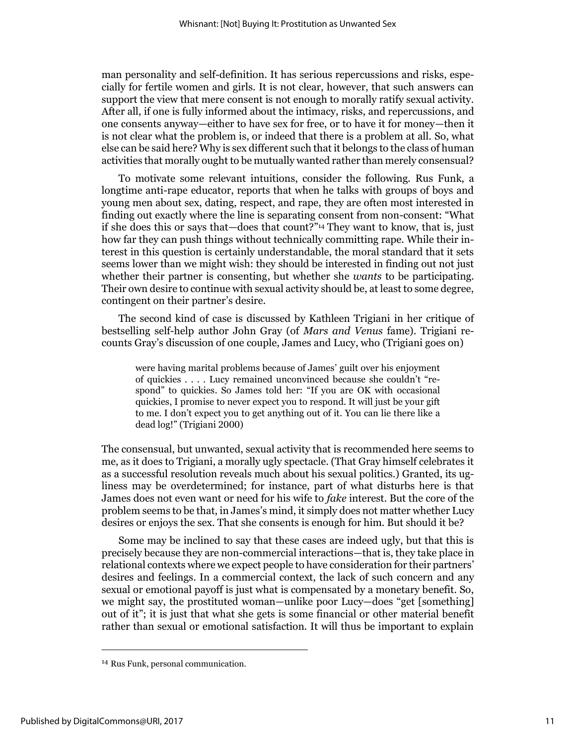man personality and self-definition. It has serious repercussions and risks, especially for fertile women and girls. It is not clear, however, that such answers can support the view that mere consent is not enough to morally ratify sexual activity. After all, if one is fully informed about the intimacy, risks, and repercussions, and one consents anyway—either to have sex for free, or to have it for money—then it is not clear what the problem is, or indeed that there is a problem at all. So, what else can be said here? Why is sex different such that it belongs to the class of human activities that morally ought to be mutually wanted rather than merely consensual?

To motivate some relevant intuitions, consider the following. Rus Funk, a longtime anti-rape educator, reports that when he talks with groups of boys and young men about sex, dating, respect, and rape, they are often most interested in finding out exactly where the line is separating consent from non-consent: "What if she does this or says that—does that count?" <sup>14</sup> They want to know, that is, just how far they can push things without technically committing rape. While their interest in this question is certainly understandable, the moral standard that it sets seems lower than we might wish: they should be interested in finding out not just whether their partner is consenting, but whether she *wants* to be participating. Their own desire to continue with sexual activity should be, at least to some degree, contingent on their partner's desire.

The second kind of case is discussed by Kathleen Trigiani in her critique of bestselling self-help author John Gray (of *Mars and Venus* fame). Trigiani recounts Gray's discussion of one couple, James and Lucy, who (Trigiani goes on)

were having marital problems because of James' guilt over his enjoyment of quickies . . . . Lucy remained unconvinced because she couldn't "respond" to quickies. So James told her: "If you are OK with occasional quickies, I promise to never expect you to respond. It will just be your gift to me. I don't expect you to get anything out of it. You can lie there like a dead log!" (Trigiani 2000)

The consensual, but unwanted, sexual activity that is recommended here seems to me, as it does to Trigiani, a morally ugly spectacle. (That Gray himself celebrates it as a successful resolution reveals much about his sexual politics.) Granted, its ugliness may be overdetermined; for instance, part of what disturbs here is that James does not even want or need for his wife to *fake* interest. But the core of the problem seems to be that, in James's mind, it simply does not matter whether Lucy desires or enjoys the sex. That she consents is enough for him. But should it be?

Some may be inclined to say that these cases are indeed ugly, but that this is precisely because they are non-commercial interactions—that is, they take place in relational contexts where we expect people to have consideration for their partners' desires and feelings. In a commercial context, the lack of such concern and any sexual or emotional payoff is just what is compensated by a monetary benefit. So, we might say, the prostituted woman—unlike poor Lucy—does "get [something] out of it"; it is just that what she gets is some financial or other material benefit rather than sexual or emotional satisfaction. It will thus be important to explain

<sup>14</sup> Rus Funk, personal communication.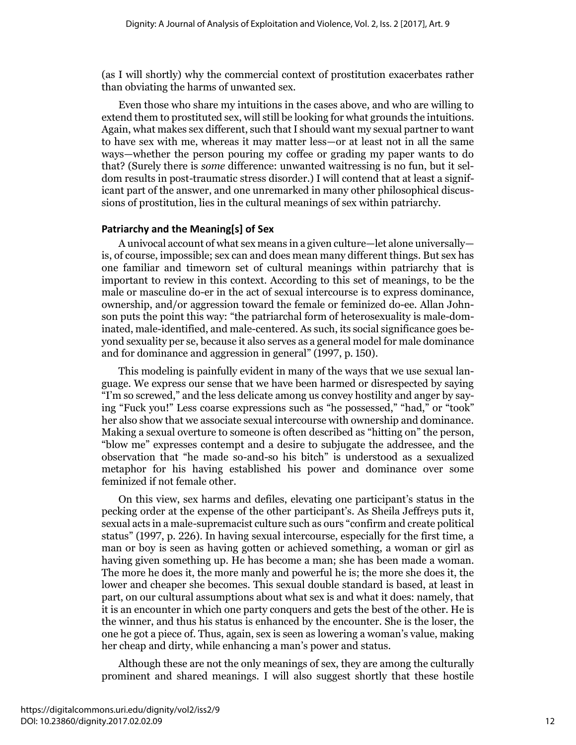(as I will shortly) why the commercial context of prostitution exacerbates rather than obviating the harms of unwanted sex.

Even those who share my intuitions in the cases above, and who are willing to extend them to prostituted sex, will still be looking for what grounds the intuitions. Again, what makes sex different, such that I should want my sexual partner to want to have sex with me, whereas it may matter less—or at least not in all the same ways—whether the person pouring my coffee or grading my paper wants to do that? (Surely there is *some* difference: unwanted waitressing is no fun, but it seldom results in post-traumatic stress disorder.) I will contend that at least a significant part of the answer, and one unremarked in many other philosophical discussions of prostitution, lies in the cultural meanings of sex within patriarchy.

#### **Patriarchy and the Meaning[s] of Sex**

A univocal account of what sex means in a given culture—let alone universally is, of course, impossible; sex can and does mean many different things. But sex has one familiar and timeworn set of cultural meanings within patriarchy that is important to review in this context. According to this set of meanings, to be the male or masculine do-er in the act of sexual intercourse is to express dominance, ownership, and/or aggression toward the female or feminized do-ee. Allan Johnson puts the point this way: "the patriarchal form of heterosexuality is male-dominated, male-identified, and male-centered. As such, its social significance goes beyond sexuality per se, because it also serves as a general model for male dominance and for dominance and aggression in general" (1997, p. 150).

This modeling is painfully evident in many of the ways that we use sexual language. We express our sense that we have been harmed or disrespected by saying "I'm so screwed," and the less delicate among us convey hostility and anger by saying "Fuck you!" Less coarse expressions such as "he possessed," "had," or "took" her also show that we associate sexual intercourse with ownership and dominance. Making a sexual overture to someone is often described as "hitting on" the person, "blow me" expresses contempt and a desire to subjugate the addressee, and the observation that "he made so-and-so his bitch" is understood as a sexualized metaphor for his having established his power and dominance over some feminized if not female other.

On this view, sex harms and defiles, elevating one participant's status in the pecking order at the expense of the other participant's. As Sheila Jeffreys puts it, sexual acts in a male-supremacist culture such as ours "confirm and create political status" (1997, p. 226). In having sexual intercourse, especially for the first time, a man or boy is seen as having gotten or achieved something, a woman or girl as having given something up. He has become a man; she has been made a woman. The more he does it, the more manly and powerful he is; the more she does it, the lower and cheaper she becomes. This sexual double standard is based, at least in part, on our cultural assumptions about what sex is and what it does: namely, that it is an encounter in which one party conquers and gets the best of the other. He is the winner, and thus his status is enhanced by the encounter. She is the loser, the one he got a piece of. Thus, again, sex is seen as lowering a woman's value, making her cheap and dirty, while enhancing a man's power and status.

Although these are not the only meanings of sex, they are among the culturally prominent and shared meanings. I will also suggest shortly that these hostile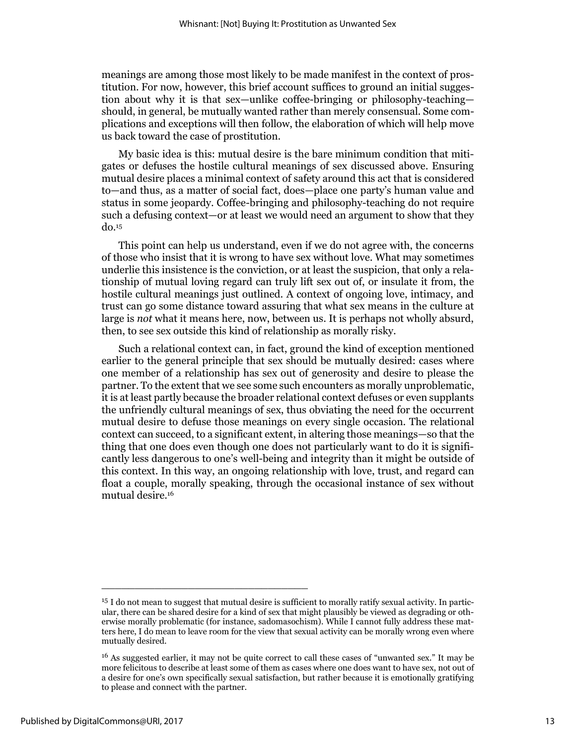meanings are among those most likely to be made manifest in the context of prostitution. For now, however, this brief account suffices to ground an initial suggestion about why it is that sex—unlike coffee-bringing or philosophy-teaching should, in general, be mutually wanted rather than merely consensual. Some complications and exceptions will then follow, the elaboration of which will help move us back toward the case of prostitution.

My basic idea is this: mutual desire is the bare minimum condition that mitigates or defuses the hostile cultural meanings of sex discussed above. Ensuring mutual desire places a minimal context of safety around this act that is considered to—and thus, as a matter of social fact, does—place one party's human value and status in some jeopardy. Coffee-bringing and philosophy-teaching do not require such a defusing context—or at least we would need an argument to show that they do.<sup>15</sup>

This point can help us understand, even if we do not agree with, the concerns of those who insist that it is wrong to have sex without love. What may sometimes underlie this insistence is the conviction, or at least the suspicion, that only a relationship of mutual loving regard can truly lift sex out of, or insulate it from, the hostile cultural meanings just outlined. A context of ongoing love, intimacy, and trust can go some distance toward assuring that what sex means in the culture at large is *not* what it means here, now, between us. It is perhaps not wholly absurd, then, to see sex outside this kind of relationship as morally risky.

Such a relational context can, in fact, ground the kind of exception mentioned earlier to the general principle that sex should be mutually desired: cases where one member of a relationship has sex out of generosity and desire to please the partner. To the extent that we see some such encounters as morally unproblematic, it is at least partly because the broader relational context defuses or even supplants the unfriendly cultural meanings of sex, thus obviating the need for the occurrent mutual desire to defuse those meanings on every single occasion. The relational context can succeed, to a significant extent, in altering those meanings—so that the thing that one does even though one does not particularly want to do it is significantly less dangerous to one's well-being and integrity than it might be outside of this context. In this way, an ongoing relationship with love, trust, and regard can float a couple, morally speaking, through the occasional instance of sex without mutual desire.<sup>16</sup>

<sup>15</sup> I do not mean to suggest that mutual desire is sufficient to morally ratify sexual activity. In particular, there can be shared desire for a kind of sex that might plausibly be viewed as degrading or otherwise morally problematic (for instance, sadomasochism). While I cannot fully address these matters here, I do mean to leave room for the view that sexual activity can be morally wrong even where mutually desired.

<sup>16</sup> As suggested earlier, it may not be quite correct to call these cases of "unwanted sex." It may be more felicitous to describe at least some of them as cases where one does want to have sex, not out of a desire for one's own specifically sexual satisfaction, but rather because it is emotionally gratifying to please and connect with the partner.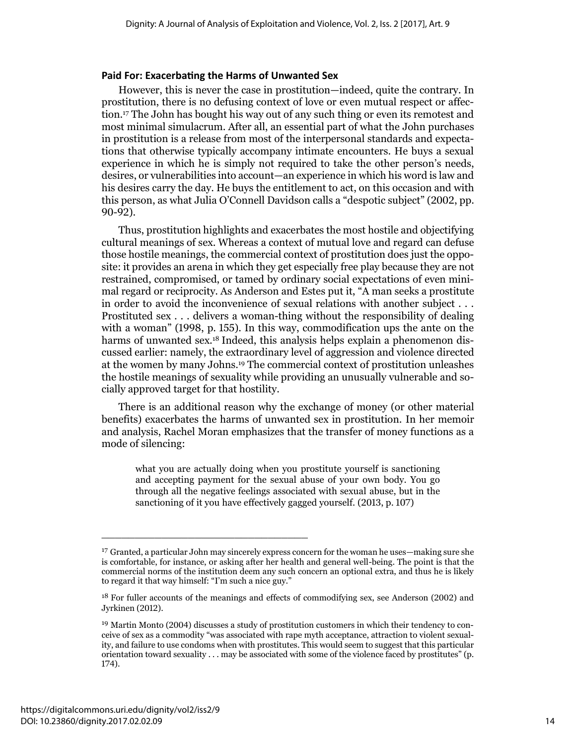#### **Paid For: Exacerbating the Harms of Unwanted Sex**

However, this is never the case in prostitution—indeed, quite the contrary. In prostitution, there is no defusing context of love or even mutual respect or affection. <sup>17</sup> The John has bought his way out of any such thing or even its remotest and most minimal simulacrum. After all, an essential part of what the John purchases in prostitution is a release from most of the interpersonal standards and expectations that otherwise typically accompany intimate encounters. He buys a sexual experience in which he is simply not required to take the other person's needs, desires, or vulnerabilities into account—an experience in which his word is law and his desires carry the day. He buys the entitlement to act, on this occasion and with this person, as what Julia O'Connell Davidson calls a "despotic subject" (2002, pp. 90-92).

Thus, prostitution highlights and exacerbates the most hostile and objectifying cultural meanings of sex. Whereas a context of mutual love and regard can defuse those hostile meanings, the commercial context of prostitution does just the opposite: it provides an arena in which they get especially free play because they are not restrained, compromised, or tamed by ordinary social expectations of even minimal regard or reciprocity. As Anderson and Estes put it, "A man seeks a prostitute in order to avoid the inconvenience of sexual relations with another subject . . . Prostituted sex . . . delivers a woman-thing without the responsibility of dealing with a woman" (1998, p. 155). In this way, commodification ups the ante on the harms of unwanted sex.<sup>18</sup> Indeed, this analysis helps explain a phenomenon discussed earlier: namely, the extraordinary level of aggression and violence directed at the women by many Johns.<sup>19</sup> The commercial context of prostitution unleashes the hostile meanings of sexuality while providing an unusually vulnerable and socially approved target for that hostility.

There is an additional reason why the exchange of money (or other material benefits) exacerbates the harms of unwanted sex in prostitution. In her memoir and analysis, Rachel Moran emphasizes that the transfer of money functions as a mode of silencing:

what you are actually doing when you prostitute yourself is sanctioning and accepting payment for the sexual abuse of your own body. You go through all the negative feelings associated with sexual abuse, but in the sanctioning of it you have effectively gagged yourself. (2013, p. 107)

<sup>17</sup> Granted, a particular John may sincerely express concern for the woman he uses—making sure she is comfortable, for instance, or asking after her health and general well-being. The point is that the commercial norms of the institution deem any such concern an optional extra, and thus he is likely to regard it that way himself: "I'm such a nice guy."

<sup>&</sup>lt;sup>18</sup> For fuller accounts of the meanings and effects of commodifying sex, see Anderson (2002) and Jyrkinen (2012).

<sup>19</sup> Martin Monto (2004) discusses a study of prostitution customers in which their tendency to conceive of sex as a commodity "was associated with rape myth acceptance, attraction to violent sexuality, and failure to use condoms when with prostitutes. This would seem to suggest that this particular orientation toward sexuality . . . may be associated with some of the violence faced by prostitutes" (p. 174).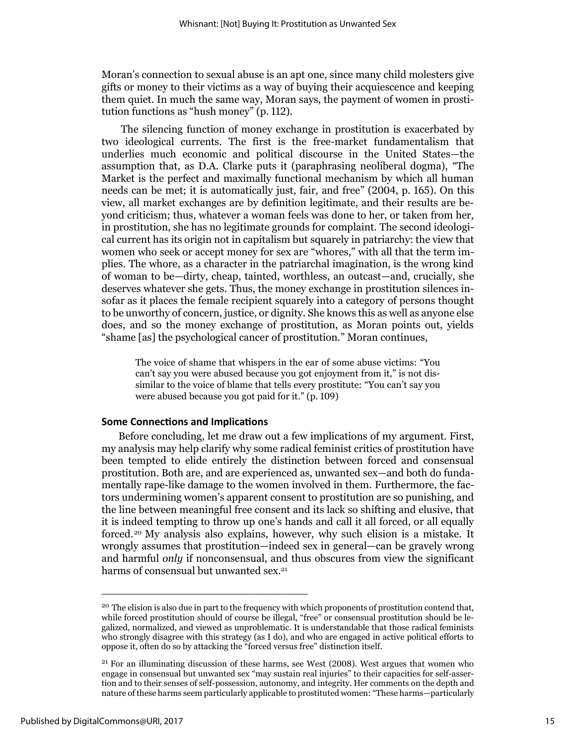Moran's connection to sexual abuse is an apt one, since many child molesters give gifts or money to their victims as a way of buying their acquiescence and keeping them quiet. In much the same way, Moran says, the payment of women in prostitution functions as "hush money" (p. 112).

The silencing function of money exchange in prostitution is exacerbated by two ideological currents. The first is the free-market fundamentalism that underlies much economic and political discourse in the United States—the assumption that, as D.A. Clarke puts it (paraphrasing neoliberal dogma), "The Market is the perfect and maximally functional mechanism by which all human needs can be met; it is automatically just, fair, and free" (2004, p. 165). On this view, all market exchanges are by definition legitimate, and their results are beyond criticism; thus, whatever a woman feels was done to her, or taken from her, in prostitution, she has no legitimate grounds for complaint. The second ideological current has its origin not in capitalism but squarely in patriarchy: the view that women who seek or accept money for sex are "whores," with all that the term implies. The whore, as a character in the patriarchal imagination, is the wrong kind of woman to be—dirty, cheap, tainted, worthless, an outcast—and, crucially, she deserves whatever she gets. Thus, the money exchange in prostitution silences insofar as it places the female recipient squarely into a category of persons thought to be unworthy of concern, justice, or dignity. She knows this as well as anyone else does, and so the money exchange of prostitution, as Moran points out, yields "shame [as] the psychological cancer of prostitution." Moran continues,

The voice of shame that whispers in the ear of some abuse victims: "You can't say you were abused because you got enjoyment from it," is not dissimilar to the voice of blame that tells every prostitute: "You can't say you were abused because you got paid for it." (p. 109)

#### **Some Connections and Implications**

\_\_\_\_\_\_\_\_\_\_\_\_\_\_\_\_\_\_\_\_\_\_\_\_\_\_\_\_\_\_\_

Before concluding, let me draw out a few implications of my argument. First, my analysis may help clarify why some radical feminist critics of prostitution have been tempted to elide entirely the distinction between forced and consensual prostitution. Both are, and are experienced as, unwanted sex—and both do fundamentally rape-like damage to the women involved in them. Furthermore, the factors undermining women's apparent consent to prostitution are so punishing, and the line between meaningful free consent and its lack so shifting and elusive, that it is indeed tempting to throw up one's hands and call it all forced, or all equally forced. <sup>20</sup> My analysis also explains, however, why such elision is a mistake. It wrongly assumes that prostitution—indeed sex in general—can be gravely wrong and harmful *only* if nonconsensual, and thus obscures from view the significant harms of consensual but unwanted sex.<sup>21</sup>

<sup>&</sup>lt;sup>20</sup> The elision is also due in part to the frequency with which proponents of prostitution contend that, while forced prostitution should of course be illegal, "free" or consensual prostitution should be legalized, normalized, and viewed as unproblematic. It is understandable that those radical feminists who strongly disagree with this strategy (as I do), and who are engaged in active political efforts to oppose it, often do so by attacking the "forced versus free" distinction itself.

 $21$  For an illuminating discussion of these harms, see West (2008). West argues that women who engage in consensual but unwanted sex "may sustain real injuries" to their capacities for self-assertion and to their senses of self-possession, autonomy, and integrity. Her comments on the depth and nature of these harms seem particularly applicable to prostituted women: "These harms—particularly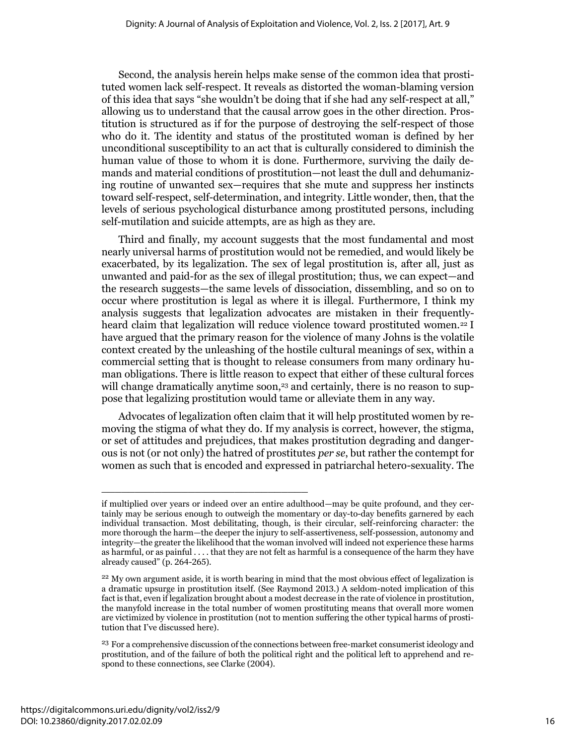Second, the analysis herein helps make sense of the common idea that prostituted women lack self-respect. It reveals as distorted the woman-blaming version of this idea that says "she wouldn't be doing that if she had any self-respect at all," allowing us to understand that the causal arrow goes in the other direction. Prostitution is structured as if for the purpose of destroying the self-respect of those who do it. The identity and status of the prostituted woman is defined by her unconditional susceptibility to an act that is culturally considered to diminish the human value of those to whom it is done. Furthermore, surviving the daily demands and material conditions of prostitution—not least the dull and dehumanizing routine of unwanted sex—requires that she mute and suppress her instincts toward self-respect, self-determination, and integrity. Little wonder, then, that the levels of serious psychological disturbance among prostituted persons, including self-mutilation and suicide attempts, are as high as they are.

Third and finally, my account suggests that the most fundamental and most nearly universal harms of prostitution would not be remedied, and would likely be exacerbated, by its legalization. The sex of legal prostitution is, after all, just as unwanted and paid-for as the sex of illegal prostitution; thus, we can expect—and the research suggests—the same levels of dissociation, dissembling, and so on to occur where prostitution is legal as where it is illegal. Furthermore, I think my analysis suggests that legalization advocates are mistaken in their frequentlyheard claim that legalization will reduce violence toward prostituted women.<sup>22</sup> I have argued that the primary reason for the violence of many Johns is the volatile context created by the unleashing of the hostile cultural meanings of sex, within a commercial setting that is thought to release consumers from many ordinary human obligations. There is little reason to expect that either of these cultural forces will change dramatically anytime soon,<sup>23</sup> and certainly, there is no reason to suppose that legalizing prostitution would tame or alleviate them in any way.

Advocates of legalization often claim that it will help prostituted women by removing the stigma of what they do. If my analysis is correct, however, the stigma, or set of attitudes and prejudices, that makes prostitution degrading and dangerous is not (or not only) the hatred of prostitutes *per se*, but rather the contempt for women as such that is encoded and expressed in patriarchal hetero-sexuality. The

if multiplied over years or indeed over an entire adulthood—may be quite profound, and they certainly may be serious enough to outweigh the momentary or day-to-day benefits garnered by each individual transaction. Most debilitating, though, is their circular, self-reinforcing character: the more thorough the harm—the deeper the injury to self-assertiveness, self-possession, autonomy and integrity—the greater the likelihood that the woman involved will indeed not experience these harms as harmful, or as painful . . . . that they are not felt as harmful is a consequence of the harm they have already caused" (p. 264-265).

<sup>&</sup>lt;sup>22</sup> My own argument aside, it is worth bearing in mind that the most obvious effect of legalization is a dramatic upsurge in prostitution itself. (See Raymond 2013.) A seldom-noted implication of this fact is that, even if legalization brought about a modest decrease in the rate of violence in prostitution, the manyfold increase in the total number of women prostituting means that overall more women are victimized by violence in prostitution (not to mention suffering the other typical harms of prostitution that I've discussed here).

<sup>&</sup>lt;sup>23</sup> For a comprehensive discussion of the connections between free-market consumerist ideology and prostitution, and of the failure of both the political right and the political left to apprehend and respond to these connections, see Clarke (2004).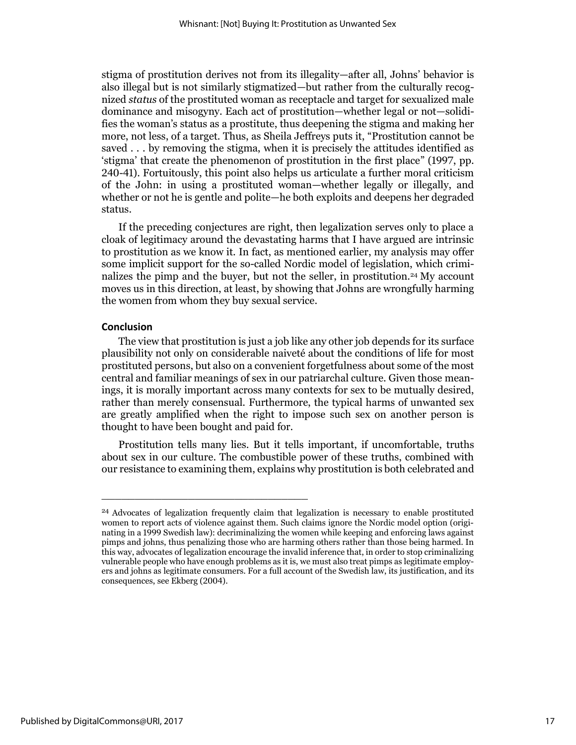stigma of prostitution derives not from its illegality—after all, Johns' behavior is also illegal but is not similarly stigmatized—but rather from the culturally recognized *status* of the prostituted woman as receptacle and target for sexualized male dominance and misogyny. Each act of prostitution—whether legal or not—solidifies the woman's status as a prostitute, thus deepening the stigma and making her more, not less, of a target. Thus, as Sheila Jeffreys puts it, "Prostitution cannot be saved . . . by removing the stigma, when it is precisely the attitudes identified as 'stigma' that create the phenomenon of prostitution in the first place" (1997, pp. 240-41). Fortuitously, this point also helps us articulate a further moral criticism of the John: in using a prostituted woman—whether legally or illegally, and whether or not he is gentle and polite—he both exploits and deepens her degraded status.

If the preceding conjectures are right, then legalization serves only to place a cloak of legitimacy around the devastating harms that I have argued are intrinsic to prostitution as we know it. In fact, as mentioned earlier, my analysis may offer some implicit support for the so-called Nordic model of legislation, which criminalizes the pimp and the buyer, but not the seller, in prostitution.<sup>24</sup> My account moves us in this direction, at least, by showing that Johns are wrongfully harming the women from whom they buy sexual service.

### **Conclusion**

The view that prostitution is just a job like any other job depends for its surface plausibility not only on considerable naiveté about the conditions of life for most prostituted persons, but also on a convenient forgetfulness about some of the most central and familiar meanings of sex in our patriarchal culture. Given those meanings, it is morally important across many contexts for sex to be mutually desired, rather than merely consensual. Furthermore, the typical harms of unwanted sex are greatly amplified when the right to impose such sex on another person is thought to have been bought and paid for.

Prostitution tells many lies. But it tells important, if uncomfortable, truths about sex in our culture. The combustible power of these truths, combined with our resistance to examining them, explains why prostitution is both celebrated and

<sup>&</sup>lt;sup>24</sup> Advocates of legalization frequently claim that legalization is necessary to enable prostituted women to report acts of violence against them. Such claims ignore the Nordic model option (originating in a 1999 Swedish law): decriminalizing the women while keeping and enforcing laws against pimps and johns, thus penalizing those who are harming others rather than those being harmed. In this way, advocates of legalization encourage the invalid inference that, in order to stop criminalizing vulnerable people who have enough problems as it is, we must also treat pimps as legitimate employers and johns as legitimate consumers. For a full account of the Swedish law, its justification, and its consequences, see Ekberg (2004).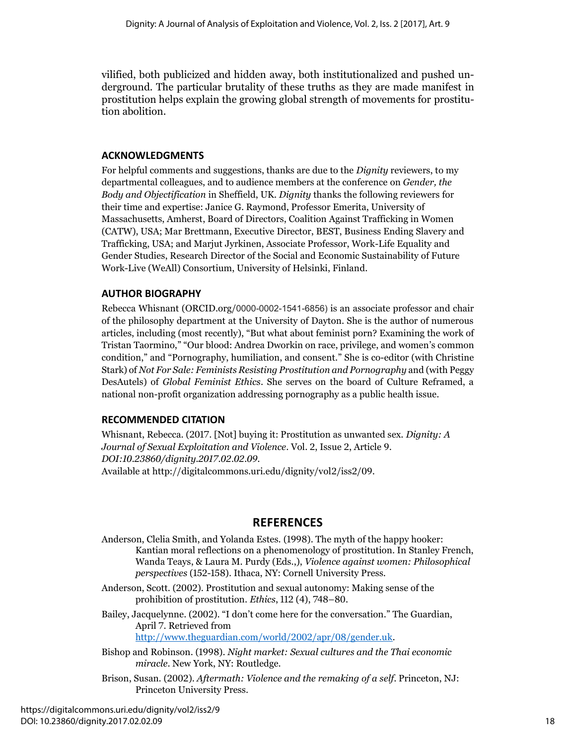vilified, both publicized and hidden away, both institutionalized and pushed underground. The particular brutality of these truths as they are made manifest in prostitution helps explain the growing global strength of movements for prostitution abolition.

## **ACKNOWLEDGMENTS**

For helpful comments and suggestions, thanks are due to the *Dignity* reviewers, to my departmental colleagues, and to audience members at the conference on *Gender, the Body and Objectification* in Sheffield, UK. *Dignity* thanks the following reviewers for their time and expertise: Janice G. Raymond, Professor Emerita, University of Massachusetts, Amherst, Board of Directors, Coalition Against Trafficking in Women (CATW), USA; Mar Brettmann, Executive Director, BEST, Business Ending Slavery and Trafficking, USA; and Marjut Jyrkinen, Associate Professor, Work-Life Equality and Gender Studies, Research Director of the Social and Economic Sustainability of Future Work-Live (WeAll) Consortium, University of Helsinki, Finland.

## **AUTHOR BIOGRAPHY**

Rebecca Whisnant (ORCID.org/0000-0002-1541-6856) is an associate professor and chair of the philosophy department at the University of Dayton. She is the author of numerous articles, including (most recently), "But what about feminist porn? Examining the work of Tristan Taormino," "Our blood: Andrea Dworkin on race, privilege, and women's common condition," and "Pornography, humiliation, and consent." She is co-editor (with Christine Stark) of *Not For Sale: Feminists Resisting Prostitution and Pornography* and (with Peggy DesAutels) of *Global Feminist Ethics*. She serves on the board of Culture Reframed, a national non-profit organization addressing pornography as a public health issue.

## **RECOMMENDED CITATION**

Whisnant, Rebecca. (2017. [Not] buying it: Prostitution as unwanted sex. *Dignity: A Journal of Sexual Exploitation and Violence*. Vol. 2, Issue 2, Article 9. *DOI:10.23860/dignity.2017.02.02.09.*  Available at http://digitalcommons.uri.edu/dignity/vol2/iss2/09.

## **REFERENCES**

Anderson, Clelia Smith, and Yolanda Estes. (1998). The myth of the happy hooker: Kantian moral reflections on a phenomenology of prostitution. In Stanley French, Wanda Teays, & Laura M. Purdy (Eds.,), *Violence against women: Philosophical perspectives* (152-158). Ithaca, NY: Cornell University Press.

Anderson, Scott. (2002). Prostitution and sexual autonomy: Making sense of the prohibition of prostitution. *Ethics*, 112 (4), 748–80.

Bailey, Jacquelynne. (2002). "I don't come here for the conversation." The Guardian, April 7. Retrieved from [http://www.theguardian.com/world/2002/apr/08/gender.uk.](http://www.theguardian.com/world/2002/apr/08/gender.uk)

- Bishop and Robinson. (1998). *Night market: Sexual cultures and the Thai economic miracle*. New York, NY: Routledge.
- Brison, Susan. (2002). *Aftermath: Violence and the remaking of a self*. Princeton, NJ: Princeton University Press.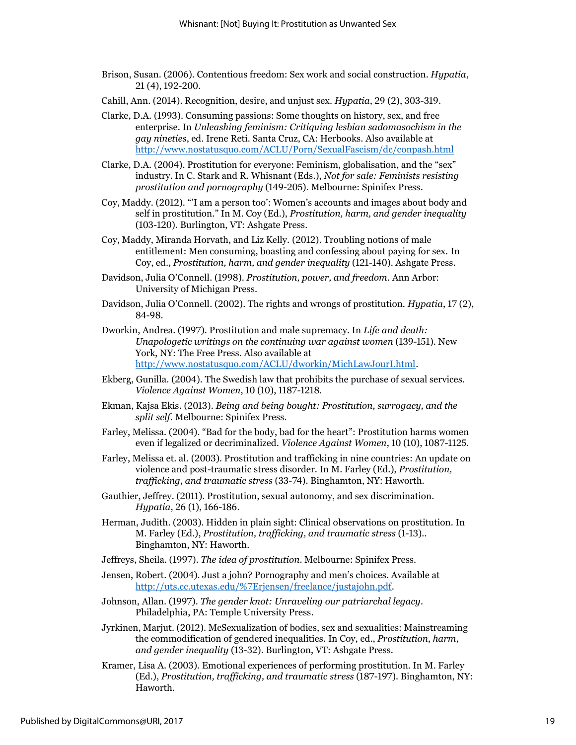- Brison, Susan. (2006). Contentious freedom: Sex work and social construction. *Hypatia*, 21 (4), 192-200.
- Cahill, Ann. (2014). Recognition, desire, and unjust sex. *Hypatia*, 29 (2), 303-319.
- Clarke, D.A. (1993). Consuming passions: Some thoughts on history, sex, and free enterprise. In *Unleashing feminism: Critiquing lesbian sadomasochism in the gay nineties*, ed. Irene Reti. Santa Cruz, CA: Herbooks. Also available at <http://www.nostatusquo.com/ACLU/Porn/SexualFascism/dc/conpash.html>
- Clarke, D.A. (2004). Prostitution for everyone: Feminism, globalisation, and the "sex" industry. In C. Stark and R. Whisnant (Eds.), *Not for sale: Feminists resisting prostitution and pornography* (149-205). Melbourne: Spinifex Press.
- Coy, Maddy. (2012). "'I am a person too': Women's accounts and images about body and self in prostitution." In M. Coy (Ed.), *Prostitution, harm, and gender inequality* (103-120). Burlington, VT: Ashgate Press.
- Coy, Maddy, Miranda Horvath, and Liz Kelly. (2012). Troubling notions of male entitlement: Men consuming, boasting and confessing about paying for sex. In Coy, ed., *Prostitution, harm, and gender inequality* (121-140). Ashgate Press.
- Davidson, Julia O'Connell. (1998). *Prostitution, power, and freedom*. Ann Arbor: University of Michigan Press.
- Davidson, Julia O'Connell. (2002). The rights and wrongs of prostitution. *Hypatia*, 17 (2), 84-98.
- Dworkin, Andrea. (1997). Prostitution and male supremacy. In *Life and death: Unapologetic writings on the continuing war against women* (139-151). New York, NY: The Free Press. Also available at [http://www.nostatusquo.com/ACLU/dworkin/MichLawJourI.html.](http://www.nostatusquo.com/ACLU/dworkin/MichLawJourI.html)
- Ekberg, Gunilla. (2004). The Swedish law that prohibits the purchase of sexual services. *Violence Against Women*, 10 (10), 1187-1218.
- Ekman, Kajsa Ekis. (2013). *Being and being bought: Prostitution, surrogacy, and the split self*. Melbourne: Spinifex Press.
- Farley, Melissa. (2004). "Bad for the body, bad for the heart": Prostitution harms women even if legalized or decriminalized. *Violence Against Women*, 10 (10), 1087-1125.
- Farley, Melissa et. al. (2003). Prostitution and trafficking in nine countries: An update on violence and post-traumatic stress disorder. In M. Farley (Ed.), *Prostitution, trafficking, and traumatic stress* (33-74). Binghamton, NY: Haworth.
- Gauthier, Jeffrey. (2011). Prostitution, sexual autonomy, and sex discrimination. *Hypatia*, 26 (1), 166-186.
- Herman, Judith. (2003). Hidden in plain sight: Clinical observations on prostitution. In M. Farley (Ed.), *Prostitution, trafficking, and traumatic stress* (1-13).. Binghamton, NY: Haworth.
- Jeffreys, Sheila. (1997). *The idea of prostitution*. Melbourne: Spinifex Press.
- Jensen, Robert. (2004). Just a john? Pornography and men's choices. Available at [http://uts.cc.utexas.edu/%7Erjensen/freelance/justajohn.pdf.](http://uts.cc.utexas.edu/~rjensen/freelance/justajohn.pdf)
- Johnson, Allan. (1997). *The gender knot: Unraveling our patriarchal legacy*. Philadelphia, PA: Temple University Press.
- Jyrkinen, Marjut. (2012). McSexualization of bodies, sex and sexualities: Mainstreaming the commodification of gendered inequalities. In Coy, ed., *Prostitution, harm, and gender inequality* (13-32). Burlington, VT: Ashgate Press.
- Kramer, Lisa A. (2003). Emotional experiences of performing prostitution. In M. Farley (Ed.), *Prostitution, trafficking, and traumatic stress* (187-197). Binghamton, NY: Haworth.